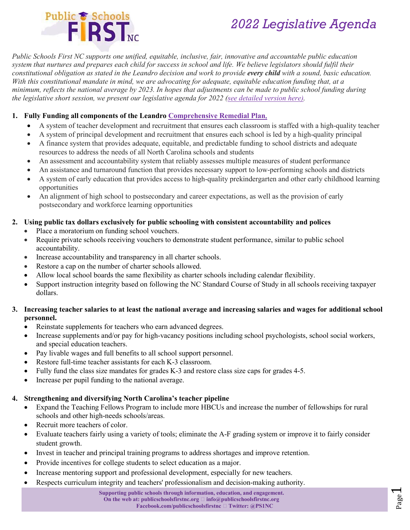

## *2022 Legislative Agenda*

*Public Schools First NC supports one unified, equitable, inclusive, fair, innovative and accountable public education system that nurtures and prepares each child for success in school and life. We believe legislators should fulfil their constitutional obligation as stated in the Leandro decision and work to provide every child with a sound, basic education. With this constitutional mandate in mind, we are advocating for adequate, equitable education funding that, at a minimum, reflects the national average by 2023. In hopes that adjustments can be made to public school funding during the legislative short session, we present our legislative agenda for 2022 (see [detailed version here\)](https://www.publicschoolsfirstnc.org/wp-content/uploads/2022/01/2022-Legislative-Agenda-long-FINAL.pdf).* 

### **1. Fully Funding all components of the Leandro [Comprehensive Remedial Plan.](https://www.publicschoolsfirstnc.org/wp-content/uploads/2021/03/Leandro-Comprehensive-Remedial-Plan-2021.pdf)**

- A system of teacher development and recruitment that ensures each classroom is staffed with a high-quality teacher
- A system of principal development and recruitment that ensures each school is led by a high-quality principal
- A finance system that provides adequate, equitable, and predictable funding to school districts and adequate resources to address the needs of all North Carolina schools and students
- An assessment and accountability system that reliably assesses multiple measures of student performance
- An assistance and turnaround function that provides necessary support to low-performing schools and districts
- A system of early education that provides access to high-quality prekindergarten and other early childhood learning opportunities
- An alignment of high school to postsecondary and career expectations, as well as the provision of early postsecondary and workforce learning opportunities

#### **2. Using public tax dollars exclusively for public schooling with consistent accountability and polices**

- Place a moratorium on funding school vouchers.
- Require private schools receiving vouchers to demonstrate student performance, similar to public school accountability.
- Increase accountability and transparency in all charter schools.
- Restore a cap on the number of charter schools allowed.
- Allow local school boards the same flexibility as charter schools including calendar flexibility.
- Support instruction integrity based on following the NC Standard Course of Study in all schools receiving taxpayer dollars.

### **3. Increasing teacher salaries to at least the national average and increasing salaries and wages for additional school personnel.**

- Reinstate supplements for teachers who earn advanced degrees.
- Increase supplements and/or pay for high-vacancy positions including school psychologists, school social workers, and special education teachers.
- Pay livable wages and full benefits to all school support personnel.
- Restore full-time teacher assistants for each K-3 classroom.
- Fully fund the class size mandates for grades K-3 and restore class size caps for grades 4-5.
- Increase per pupil funding to the national average.

### **4. Strengthening and diversifying North Carolina's teacher pipeline**

- Expand the Teaching Fellows Program to include more HBCUs and increase the number of fellowships for rural schools and other high-needs schools/areas.
- Recruit more teachers of color.
- Evaluate teachers fairly using a variety of tools; eliminate the A-F grading system or improve it to fairly consider student growth.
- Invest in teacher and principal training programs to address shortages and improve retention.
- Provide incentives for college students to select education as a major.
- Increase mentoring support and professional development, especially for new teachers.
- Respects curriculum integrity and teachers' professionalism and decision-making authority.